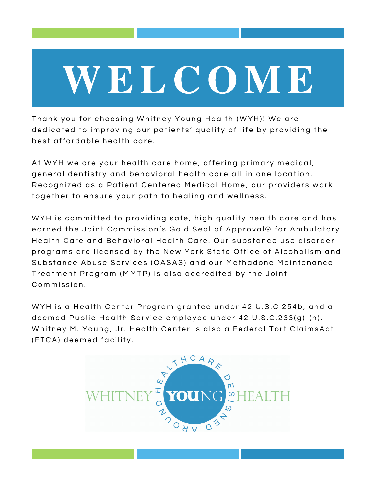# WEL C O M E

Thank you for choosing Whitney Young Health (WYH)! We are dedicated to improving our patients' quality of life by providing the best affordable health care.

At WYH we are your health care home, offering primary medical, general dentistry and behavioral health care all in one location. Recognized as a Patient Centered Medical Home, our providers work together to ensure your path to healing and wellness.

WYH is committed to providing safe, high quality health care and has earned the Joint Commission's Gold Seal of Approval® for Ambulatory Health Care and Behavioral Health Care. Our substance use disorder programs are licensed by the New York State Office of Alcoholism and Substance Abuse Services (OASAS) and our Methadone Maintenance Treatment Program (MMTP) is also accredited by the Joint Commission

WYH is a Health Center Program grantee under 42 U.S.C 254b, and a deemed Public Health Service employee under 42 U.S.C.233(q)-(n). Whitney M. Young, Jr. Health Center is also a Federal Tort ClaimsAct (FTCA) deemed facility.

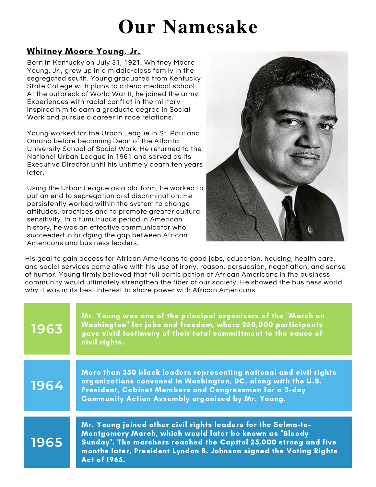### Our Namesake

#### Whitney Moore Young, Jr.

Born in Kentucky on July 31, 1921, Whitney Moore Young, Jr., grew up in a middle-class family in the segregated south. Young graduated from Kentucky State College with plans to attend medical school. At the outbreak of World War II, he joined the army. Experiences with racial conflict in the military inspired him to earn a graduate degree in Social Work and pursue a career in race relations.

Young worked for the Urban League in St. Paul and Omaha before becoming Dean of the Atlanta University School of Social Work. He returned to the National Urban League in 1961 and served as its Executive Director until his untimely death ten years later.

Using the Urban League as a platform, he worked to put an end to segregation and discrimination. He persistently worked within the system to change attitudes, practices and to promote greater cultural sensitivity. In a tumultuous period in American history, he was an effective communicator who succeeded in bridging the gap between African Americans and business leaders.



His goal to gain access for African Americans to good jobs, education, housing, health care, and social services came alive with his use of irony, reason, persuasion, negotiation, and sense of humor. Young firmly believed that full participation of African Americans in the business community would ultimately strengthen the fiber of our society. He showed the business world why it was in its best interest to share power with African Americans.

| 1963 | Mr. Young was one of the principal organizers of the "March on<br>Washington" for jobs and freedom, where 250,000 participants<br>gave vivid testimony of their total committment to the cause of<br>civil rights.                                                                 |
|------|------------------------------------------------------------------------------------------------------------------------------------------------------------------------------------------------------------------------------------------------------------------------------------|
| 1964 | More than 350 black leaders representing national and civil rights<br>organizations convened in Washington, DC, along with the U.S.<br>President, Cabinet Members and Congressmen for a 3-day<br><b>Community Action Assembly organized by Mr. Young.</b>                          |
| 1965 | Mr. Young joined other civil rights leaders for the Selma-to-<br>Montgomery March, which would later be known as "Bloody<br>Sunday". The marchers reached the Capitol 25,000 strong and five<br>months later, President Lyndon B. Johnson signed the Voting Rights<br>Act of 1965. |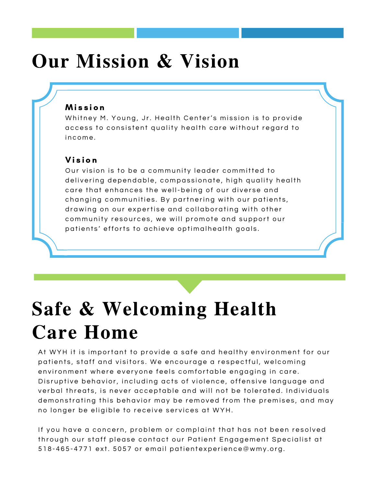## Our Mission & Vision

#### M i s s i o n

Whitney M. Young, Jr. Health Center's mission is to provide access to consistent quality health care without regard to income.

#### Vi s i o n

Our vision is to be a community leader committed to delivering dependable, compassionate, high quality health care that enhances the well-being of our diverse and changing communities. By partnering with our patients, drawing on our expertise and collaborating with other community resources, we will promote and support our patients' efforts to achieve optimalhealth goals.

# Safe & Welcoming Health Care Home

At WYH it is important to provide a safe and healthy environment for our patients, staff and visitors. We encourage a respectful, welcoming environment where everyone feels comfortable engaging in care. Disruptive behavior, including acts of violence, offensive language and verbal threats, is never acceptable and will not be tolerated. Individuals demonstrating this behavior may be removed from the premises, and may no longer be eligible to receive services at WYH.

If you have a concern, problem or complaint that has not been resolved through our staff please contact our Patient Engagement Specialist at 518-465-4771 ext. 5057 or email patientexperience@wmy.org.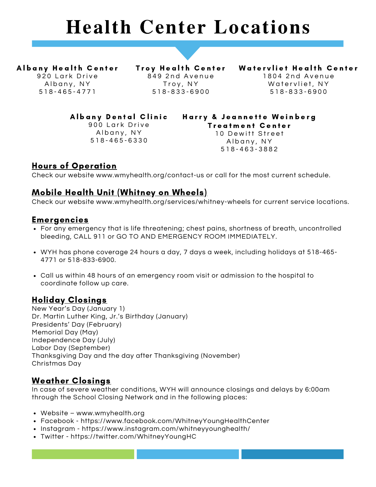### Health Center Locations

Albany Health Center 920 Lark Drive Albany, NY 5 1 8 - 4 6 5 - 4 7 7 1

Troy Health Center  $849$  2nd Avenue Troy, NY 5 1 8 - 8 3 3 - 6 9 0 0

Watervliet Health Center 1804 2nd Avenue Watervliet, NY 5 1 8 - 8 3 3 - 6 9 0 0

Albany Dental Clinic

900 Lark Drive Albany, NY 5 1 8 - 4 6 5 - 6 3 3 0

Harry & Jeannette Weinberg Treatment Center 10 Dewitt Street Albany, NY 5 1 8 - 4 6 3 - 3 8 8 2

#### Hours of Operation

Check our website www.wmyhealth.org/contact-us or call for the most current schedule.

#### Mobile Health Unit (Whitney on Wheels)

Check our website www.wmyhealth.org/services/whitney-wheels for current service locations.

#### Emergencies

- For any emergency that is life threatening; chest pains, shortness of breath, uncontrolled bleeding, CALL 911 or GO TO AND EMERGENCY ROOM IMMEDIATELY.
- WYH has phone coverage 24 hours a day, 7 days a week, including holidays at 518-465- 4771 or 518-833-6900.
- Call us within 48 hours of an emergency room visit or admission to the hospital to coordinate follow up care.

#### Holiday Closings

New Year's Day (January 1) Dr. Martin Luther King, Jr.'s Birthday (January) Presidents' Day (February) Memorial Day (May) Independence Day (July) Labor Day (September) Thanksgiving Day and the day after Thanksgiving (November) Christmas Day

#### Weather Closings

In case of severe weather conditions, WYH will announce closings and delays by 6:00am through the School Closing Network and in the following places:

- Website www.wmyhealth.org
- Facebook https://www.facebook.com/WhitneyYoungHealthCenter
- Instagram https://www.instagram.com/whitneyyounghealth/
- Twitter https://twitter.com/WhitneyYoungHC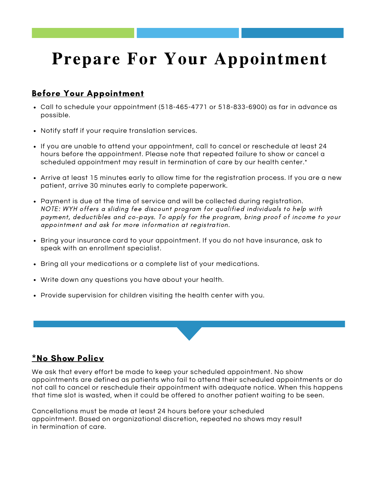### Prepare For Your Appointment

#### Before Your Appointment

- Call to schedule your appointment (518-465-4771 or 518-833-6900) as far in advance as possible.
- Notify staff if your require translation services.
- If you are unable to attend your appointment, call to cancel or reschedule at least 24 hours before the appointment. Please note that repeated failure to show or cancel a scheduled appointment may result in termination of care by our health center.\*
- Arrive at least 15 minutes early to allow time for the registration process. If you are a new patient, arrive 30 minutes early to complete paperwork.
- Payment is due at the time of service and will be collected during registration. NOTE: WYH offers a sliding fee discount program for qualified individuals to help with payment, deductibles and co-pays. To apply for the program, bring proof of income to your appointment and ask for more information at registration.
- Bring your insurance card to your appointment. If you do not have insurance, ask to speak with an enrollment specialist.
- Bring all your medications or a complete list of your medications.
- Write down any questions you have about your health.
- Provide supervision for children visiting the health center with you.

#### \*No Show Policv

We ask that every effort be made to keep your scheduled appointment. No show appointments are defined as patients who fail to attend their scheduled appointments or do not call to cancel or reschedule their appointment with adequate notice. When this happens that time slot is wasted, when it could be offered to another patient waiting to be seen.

Cancellations must be made at least 24 hours before your scheduled appointment. Based on organizational discretion, repeated no shows may result in termination of care.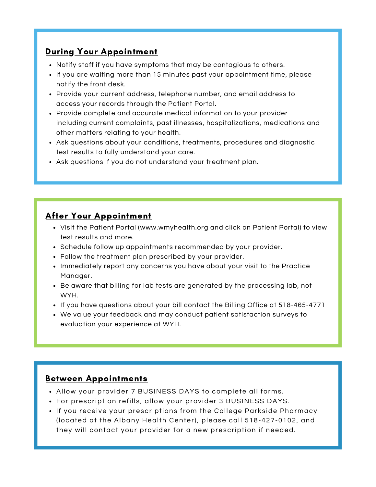#### During Your Appointment

- Notify staff if you have symptoms that may be contagious to others.
- If you are waiting more than 15 minutes past your appointment time, please notify the front desk.
- Provide your current address, telephone number, and email address to access your records through the Patient Portal.
- Provide complete and accurate medical information to your provider including current complaints, past illnesses, hospitalizations, medications and other matters relating to your health.
- Ask questions about your conditions, treatments, procedures and diagnostic test results to fully understand your care.
- Ask questions if you do not understand your treatment plan.

#### After Your Appointment

- Visit the Patient Portal (www.wmyhealth.org and click on Patient Portal) to view test results and more.
- Schedule follow up appointments recommended by your provider.
- Follow the treatment plan prescribed by your provider.
- Immediately report any concerns you have about your visit to the Practice Manager.
- Be aware that billing for lab tests are generated by the processing lab, not WYH.
- If you have questions about your bill contact the Billing Office at 518-465-4771
- We value your feedback and may conduct patient satisfaction surveys to evaluation your experience at WYH.

#### Between Appointments

- Allow your provider 7 BUSINESS DAYS to complete all forms.
- For prescription refills, allow your provider 3 BUSINESS DAYS.
- If you receive your prescriptions from the College Parkside Pharmacy (located at the Albany Health Center), please call 518-427-0102, and they will contact your provider for a new prescription if needed.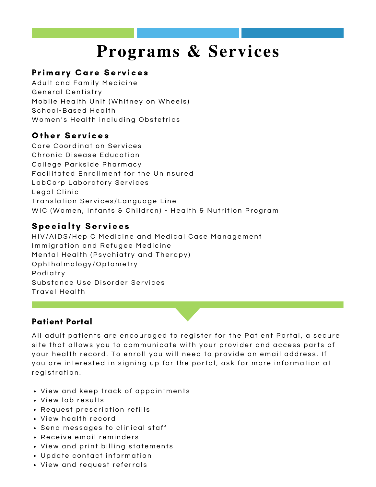### Programs & Services

#### Primary Care Services

Adult and Family Medicine General Dentistry Mobile Health Unit (Whitney on Wheels) School-Based Health Women's Health including Obstetrics

#### Other Services

Care Coordination Services Chronic Disease Education College Parkside Pharmacy Facilitated Enrollment for the Uninsured LabCorp Laboratory Services Legal Clinic Translation Services/Language Line WIC (Women, Infants & Children) - Health & Nutrition Program

#### **Specialty Services**

HIV/AIDS/Hep C Medicine and Medical Case Management Immigration and Refugee Medicine Mental Health (Psychiatry and Therapy) Oph thal mology/Optometry Podiatry Substance Use Disorder Services Travel Health

#### Patient Portal

All adult patients are encouraged to register for the Patient Portal, a secure site that allows you to communicate with your provider and access parts of your health record. To enroll you will need to provide an email address. If you are interested in signing up for the portal, ask for more information at registration.

- View and keep track of appointments
- View lab results
- Request prescription refills
- View health record
- Send messages to clinical staff
- Receive email reminders
- View and print billing statements
- Update contact information
- View and request referrals